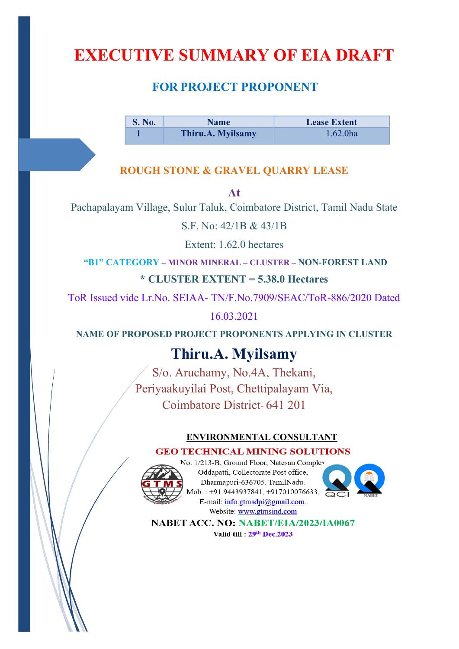# **EXECUTIVE SUMMARY OF EIA DRAFT**

# **FOR PROJECT PROPONENT**

**S. No.** Name **Lease Extent 1 Thiru.A. Myilsamy** 1.62.0ha

## **ROUGH STONE & GRAVEL QUARRY LEASE**

**At** 

Pachapalayam Village, Sulur Taluk, Coimbatore District, Tamil Nadu State

S.F. No: 42/1B & 43/1B

Extent: 1.62.0 hectares

**"B1" CATEGORY – MINOR MINERAL – CLUSTER – NON-FOREST LAND**

## **\* CLUSTER EXTENT = 5.38.0 Hectares**

ToR Issued vide Lr.No. SEIAA- TN/F.No.7909/SEAC/ToR-886/2020 Dated

16.03.2021

**NAME OF PROPOSED PROJECT PROPONENTS APPLYING IN CLUSTER** 

# **Thiru.A. Myilsamy**

S/o. Aruchamy, No.4A, Thekani, Periyaakuyilai Post, Chettipalayam Via, Coimbatore District- 641 201

## **ENVIRONMENTAL CONSULTANT**

## **GEO TECHNICAL MINING SOLUTIONS**



No: 1/213-B, Ground Floor, Natesan Compley Oddapatti, Collectorate Post office, Dharmapuri-636705. TamilNadu. Mob.: +91 9443937841, +917010076633, E-mail:  $info.gtmsdpi@gmail.com$ , Website: www.gtmsind.com



NABET ACC. NO: NABET/EIA/2023/IA0067 Valid till: 29th Dec.2023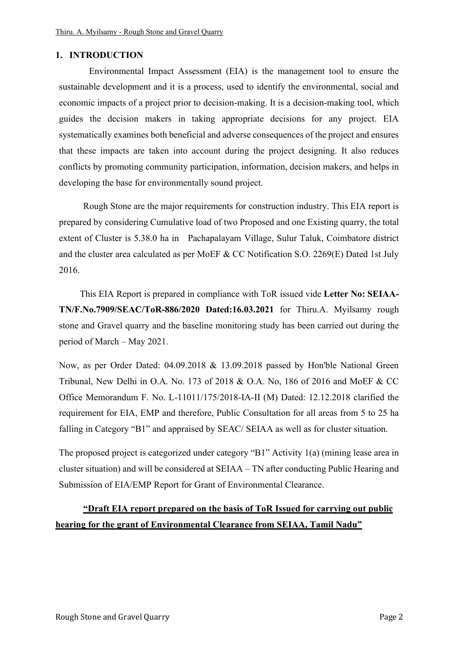#### **1. INTRODUCTION**

 Environmental Impact Assessment (EIA) is the management tool to ensure the sustainable development and it is a process, used to identify the environmental, social and economic impacts of a project prior to decision-making. It is a decision-making tool, which guides the decision makers in taking appropriate decisions for any project. EIA systematically examines both beneficial and adverse consequences of the project and ensures that these impacts are taken into account during the project designing. It also reduces conflicts by promoting community participation, information, decision makers, and helps in developing the base for environmentally sound project.

 Rough Stone are the major requirements for construction industry. This EIA report is prepared by considering Cumulative load of two Proposed and one Existing quarry, the total extent of Cluster is 5.38.0 ha in Pachapalayam Village, Sulur Taluk, Coimbatore district and the cluster area calculated as per MoEF & CC Notification S.O. 2269(E) Dated 1st July 2016.

 This EIA Report is prepared in compliance with ToR issued vide **Letter No: SEIAA-TN/F.No.7909/SEAC/ToR-886/2020 Dated:16.03.2021** for Thiru.A. Myilsamy rough stone and Gravel quarry and the baseline monitoring study has been carried out during the period of March – May 2021.

Now, as per Order Dated: 04.09.2018 & 13.09.2018 passed by Hon'ble National Green Tribunal, New Delhi in O.A. No. 173 of 2018 & O.A. No, 186 of 2016 and MoEF & CC Office Memorandum F. No. L-11011/175/2018-IA-II (M) Dated: 12.12.2018 clarified the requirement for EIA, EMP and therefore, Public Consultation for all areas from 5 to 25 ha falling in Category "B1" and appraised by SEAC/ SEIAA as well as for cluster situation.

The proposed project is categorized under category "B1" Activity 1(a) (mining lease area in cluster situation) and will be considered at SEIAA – TN after conducting Public Hearing and Submission of EIA/EMP Report for Grant of Environmental Clearance.

## **"Draft EIA report prepared on the basis of ToR Issued for carrying out public hearing for the grant of Environmental Clearance from SEIAA, Tamil Nadu"**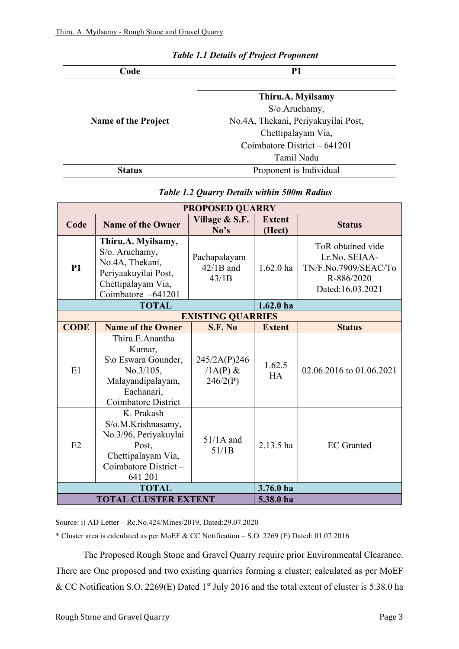| Code                       | P1                                  |
|----------------------------|-------------------------------------|
|                            |                                     |
|                            | Thiru.A. Myilsamy                   |
|                            | S/o.Aruchamy,                       |
| <b>Name of the Project</b> | No.4A, Thekani, Periyakuyilai Post, |
|                            | Chettipalayam Via,                  |
|                            | Coimbatore District $-641201$       |
|                            | Tamil Nadu                          |
| <b>Status</b>              | Proponent is Individual             |

#### *Table 1.1 Details of Project Proponent*

| Table 1.2 Quarry Details within 500m Radius |  |  |  |
|---------------------------------------------|--|--|--|
|                                             |  |  |  |

| <b>PROPOSED QUARRY</b>      |                                                                                                                                |                                        |                         |                                                                                              |  |
|-----------------------------|--------------------------------------------------------------------------------------------------------------------------------|----------------------------------------|-------------------------|----------------------------------------------------------------------------------------------|--|
| Code                        | <b>Name of the Owner</b>                                                                                                       | Village & S.F.<br>No's                 | <b>Extent</b><br>(Hect) | <b>Status</b>                                                                                |  |
| <b>P1</b>                   | Thiru.A. Myilsamy,<br>S/o. Aruchamy,<br>No.4A, Thekani,<br>Periyaakuyilai Post,<br>Chettipalayam Via,<br>Coimbatore -641201    | Pachapalayam<br>$42/1B$ and<br>43/1B   | $1.62.0$ ha             | ToR obtained vide<br>Lr.No. SEIAA-<br>TN/F.No.7909/SEAC/To<br>R-886/2020<br>Dated:16.03.2021 |  |
|                             | <b>TOTAL</b>                                                                                                                   |                                        | 1.62.0 <sub>ha</sub>    |                                                                                              |  |
|                             |                                                                                                                                | <b>EXISTING QUARRIES</b>               |                         |                                                                                              |  |
| <b>CODE</b>                 | <b>Name of the Owner</b>                                                                                                       | S.F. No                                | <b>Extent</b>           | <b>Status</b>                                                                                |  |
| E1                          | Thiru.E.Anantha<br>Kumar,<br>S\o Eswara Gounder,<br>No.3/105,<br>Malayandipalayam,<br>Eachanari,<br><b>Coimbatore District</b> | 245/2A(P)246<br>$/1A(P)$ &<br>246/2(P) | 1.62.5<br><b>HA</b>     | 02.06.2016 to 01.06.2021                                                                     |  |
| E2                          | K. Prakash<br>S/o.M.Krishnasamy,<br>No.3/96, Periyakuylai<br>Post,<br>Chettipalayam Via,<br>Coimbatore District-<br>641 201    | $51/1A$ and<br>51/1B                   | $2.13.5$ ha             | <b>EC</b> Granted                                                                            |  |
|                             | <b>TOTAL</b><br>3.76.0 ha                                                                                                      |                                        |                         |                                                                                              |  |
| <b>TOTAL CLUSTER EXTENT</b> |                                                                                                                                |                                        | 5.38.0 ha               |                                                                                              |  |

Source: i) AD Letter – Rc.No.424/Mines/2019, Dated:29.07.2020

\* Cluster area is calculated as per MoEF & CC Notification – S.O. 2269 (E) Dated: 01.07.2016

The Proposed Rough Stone and Gravel Quarry require prior Environmental Clearance. There are One proposed and two existing quarries forming a cluster; calculated as per MoEF & CC Notification S.O. 2269(E) Dated 1<sup>st</sup> July 2016 and the total extent of cluster is 5.38.0 ha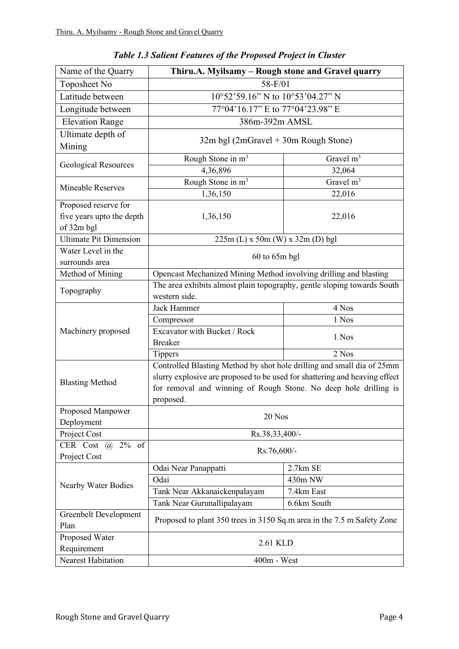| Name of the Quarry            | Thiru.A. Myilsamy - Rough stone and Gravel quarry                          |             |  |
|-------------------------------|----------------------------------------------------------------------------|-------------|--|
| Toposheet No                  | 58-F/01                                                                    |             |  |
| Latitude between              | 10°52'59.16" N to 10°53'04.27" N                                           |             |  |
| Longitude between             | 77°04'16.17" E to 77°04'23.98" E                                           |             |  |
| <b>Elevation Range</b>        | 386m-392m AMSL                                                             |             |  |
| Ultimate depth of             |                                                                            |             |  |
| Mining                        | $32m$ bgl (2mGravel + 30m Rough Stone)                                     |             |  |
| <b>Geological Resources</b>   | Rough Stone in m <sup>3</sup>                                              | Gravel $m3$ |  |
|                               | 4,36,896                                                                   | 32,064      |  |
| <b>Mineable Reserves</b>      | Rough Stone in m <sup>3</sup>                                              | Gravel $m3$ |  |
|                               | 1,36,150                                                                   | 22,016      |  |
| Proposed reserve for          |                                                                            |             |  |
| five years upto the depth     | 1,36,150                                                                   | 22,016      |  |
| of 32m bgl                    |                                                                            |             |  |
| <b>Ultimate Pit Dimension</b> | $225m$ (L) x 50m (W) x 32m (D) bgl                                         |             |  |
| Water Level in the            | 60 to 65m bgl                                                              |             |  |
| surrounds area                |                                                                            |             |  |
| Method of Mining              | Opencast Mechanized Mining Method involving drilling and blasting          |             |  |
| Topography                    | The area exhibits almost plain topography, gentle sloping towards South    |             |  |
|                               | western side.                                                              |             |  |
|                               | Jack Hammer                                                                | 4 Nos       |  |
|                               | Compressor                                                                 | 1 Nos       |  |
| Machinery proposed            | Excavator with Bucket / Rock                                               | 1 Nos       |  |
|                               | <b>Breaker</b>                                                             |             |  |
|                               | <b>Tippers</b>                                                             | 2 Nos       |  |
|                               | Controlled Blasting Method by shot hole drilling and small dia of 25mm     |             |  |
| <b>Blasting Method</b>        | slurry explosive are proposed to be used for shattering and heaving effect |             |  |
|                               | for removal and winning of Rough Stone. No deep hole drilling is           |             |  |
|                               | proposed.                                                                  |             |  |
| Proposed Manpower             | 20 Nos                                                                     |             |  |
| Deployment<br>Project Cost    | Rs.38,33,400/-                                                             |             |  |
| CER Cost $(a)$<br>$2\%$ of    |                                                                            |             |  |
| Project Cost                  | Rs.76,600/-                                                                |             |  |
|                               | Odai Near Panappatti                                                       | 2.7km SE    |  |
|                               | Odai                                                                       | 430m NW     |  |
| Nearby Water Bodies           | Tank Near Akkanaickenpalayam                                               | 7.4km East  |  |
|                               | Tank Near Gurunallipalayam                                                 | 6.6km South |  |
| Greenbelt Development         |                                                                            |             |  |
| Plan                          | Proposed to plant 350 trees in 3150 Sq.m area in the 7.5 m Safety Zone     |             |  |
| Proposed Water                | 2.61 KLD                                                                   |             |  |
| Requirement                   |                                                                            |             |  |
| Nearest Habitation            | $400m$ - West                                                              |             |  |

*Table 1.3 Salient Features of the Proposed Project in Cluster*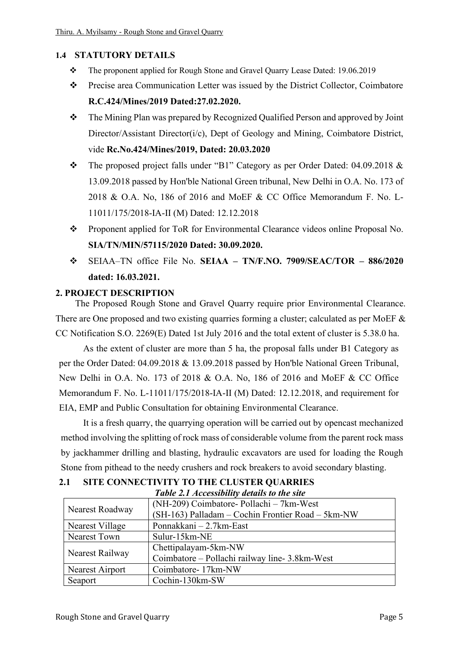## **1.4 STATUTORY DETAILS**

- ❖ The proponent applied for Rough Stone and Gravel Quarry Lease Dated: 19.06.2019
- ❖ Precise area Communication Letter was issued by the District Collector, Coimbatore **R.C.424/Mines/2019 Dated:27.02.2020.**
- ❖ The Mining Plan was prepared by Recognized Qualified Person and approved by Joint Director/Assistant Director(i/c), Dept of Geology and Mining, Coimbatore District, vide **Rc.No.424/Mines/2019, Dated: 20.03.2020**
- ❖ The proposed project falls under "B1" Category as per Order Dated: 04.09.2018 & 13.09.2018 passed by Hon'ble National Green tribunal, New Delhi in O.A. No. 173 of 2018 & O.A. No, 186 of 2016 and MoEF & CC Office Memorandum F. No. L-11011/175/2018-IA-II (M) Dated: 12.12.2018
- ❖ Proponent applied for ToR for Environmental Clearance videos online Proposal No. **SIA/TN/MIN/57115/2020 Dated: 30.09.2020.**
- ❖ SEIAA–TN office File No. **SEIAA – TN/F.NO. 7909/SEAC/TOR – 886/2020 dated: 16.03.2021.**

## **2. PROJECT DESCRIPTION**

 The Proposed Rough Stone and Gravel Quarry require prior Environmental Clearance. There are One proposed and two existing quarries forming a cluster; calculated as per MoEF & CC Notification S.O. 2269(E) Dated 1st July 2016 and the total extent of cluster is 5.38.0 ha.

 As the extent of cluster are more than 5 ha, the proposal falls under B1 Category as per the Order Dated: 04.09.2018 & 13.09.2018 passed by Hon'ble National Green Tribunal, New Delhi in O.A. No. 173 of 2018 & O.A. No, 186 of 2016 and MoEF & CC Office Memorandum F. No. L-11011/175/2018-IA-II (M) Dated: 12.12.2018, and requirement for EIA, EMP and Public Consultation for obtaining Environmental Clearance.

 It is a fresh quarry, the quarrying operation will be carried out by opencast mechanized method involving the splitting of rock mass of considerable volume from the parent rock mass by jackhammer drilling and blasting, hydraulic excavators are used for loading the Rough Stone from pithead to the needy crushers and rock breakers to avoid secondary blasting.

| Table 2.1 Accessibility details to the site |                                                   |  |  |
|---------------------------------------------|---------------------------------------------------|--|--|
|                                             | (NH-209) Coimbatore- Pollachi – 7km-West          |  |  |
| Nearest Roadway                             | (SH-163) Palladam - Cochin Frontier Road - 5km-NW |  |  |
| Nearest Village                             | Ponnakkani – 2.7km-East                           |  |  |
| <b>Nearest Town</b>                         | Sulur-15km-NE                                     |  |  |
|                                             | Chettipalayam-5km-NW                              |  |  |
| Nearest Railway                             | Coimbatore – Pollachi railway line- 3.8km-West    |  |  |
| Nearest Airport                             | Coimbatore-17km-NW                                |  |  |
| Seaport                                     | Cochin-130km-SW                                   |  |  |

## **2.1 SITE CONNECTIVITY TO THE CLUSTER QUARRIES**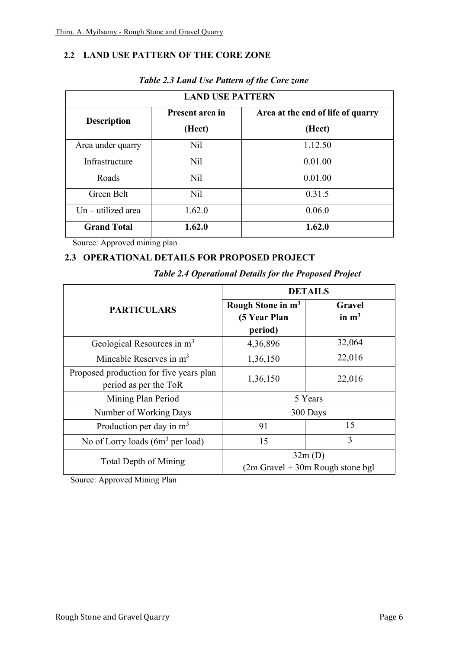## **2.2 LAND USE PATTERN OF THE CORE ZONE**

| <b>LAND USE PATTERN</b> |                           |                                             |  |
|-------------------------|---------------------------|---------------------------------------------|--|
| <b>Description</b>      | Present area in<br>(Hect) | Area at the end of life of quarry<br>(Hect) |  |
| Area under quarry       | Nil                       | 1.12.50                                     |  |
| Infrastructure          | N <sub>il</sub>           | 0.01.00                                     |  |
| Roads                   | N <sub>il</sub>           | 0.01.00                                     |  |
| Green Belt              | N <sub>il</sub>           | 0.31.5                                      |  |
| $Un - utilized area$    | 1.62.0                    | 0.06.0                                      |  |
| <b>Grand Total</b>      | 1.62.0                    | 1.62.0                                      |  |

#### *Table 2.3 Land Use Pattern of the Core zone*

Source: Approved mining plan

#### **2.3 OPERATIONAL DETAILS FOR PROPOSED PROJECT**

|                                                                  | <b>DETAILS</b>                                           |                                              |  |
|------------------------------------------------------------------|----------------------------------------------------------|----------------------------------------------|--|
| <b>PARTICULARS</b>                                               | Rough Stone in m <sup>3</sup><br>(5 Year Plan<br>period) | Gravel<br>in $m3$                            |  |
| Geological Resources in m <sup>3</sup>                           | 4,36,896                                                 | 32,064                                       |  |
| Mineable Reserves in m <sup>3</sup>                              | 1,36,150                                                 | 22,016                                       |  |
| Proposed production for five years plan<br>period as per the ToR | 1,36,150                                                 | 22,016                                       |  |
| Mining Plan Period                                               |                                                          | 5 Years                                      |  |
| Number of Working Days                                           |                                                          | 300 Days                                     |  |
| Production per day in m <sup>3</sup>                             | 91                                                       | 15                                           |  |
| No of Lorry loads $(6m^3$ per load)                              | 15                                                       | 3                                            |  |
| Total Depth of Mining                                            |                                                          | 32m(D)<br>$(2m$ Gravel + 30m Rough stone bgl |  |

*Table 2.4 Operational Details for the Proposed Project* 

Source: Approved Mining Plan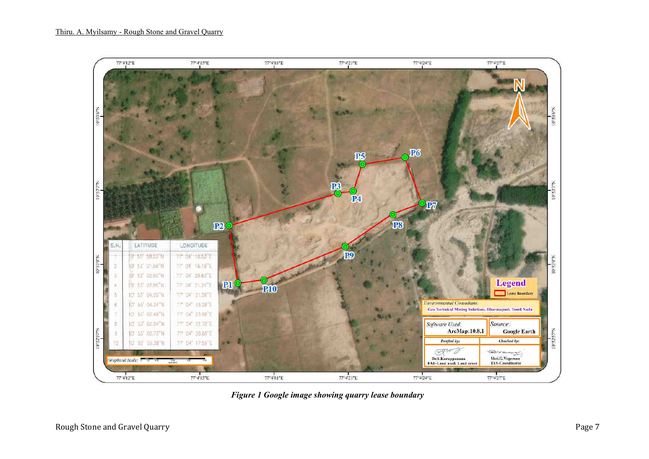

*Figure 1 Google image showing quarry lease boundary*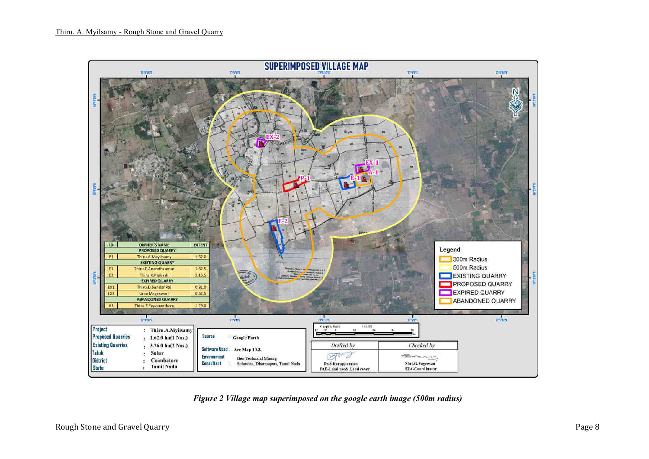

*Figure 2 Village map superimposed on the google earth image (500m radius)*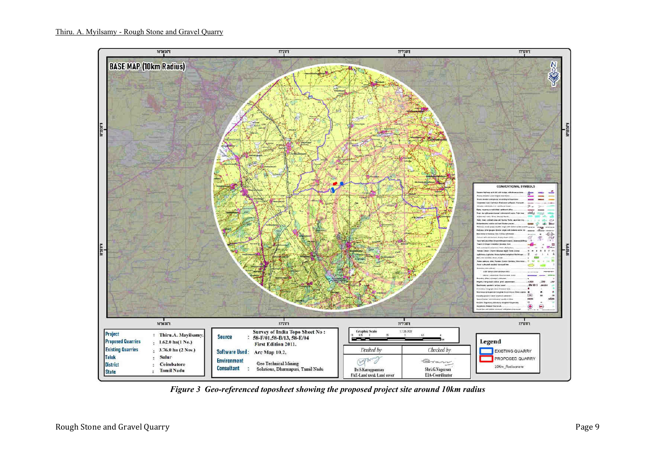

*Figure 3 Geo-referenced toposheet showing the proposed project site around 10km radius*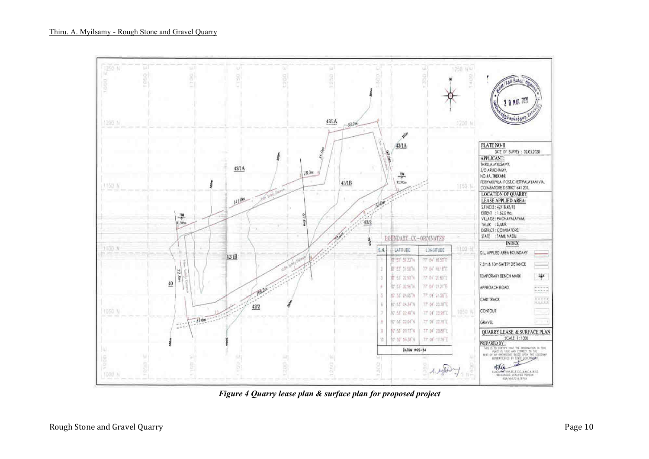

 *Figure 4 Quarry lease plan & surface plan for proposed project*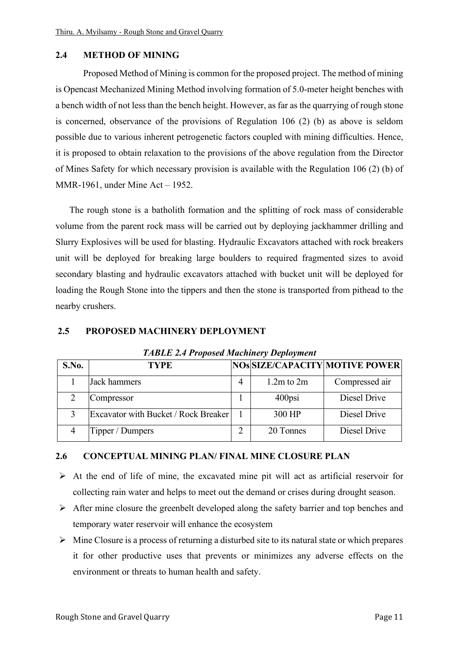#### **2.4 METHOD OF MINING**

Proposed Method of Mining is common for the proposed project. The method of mining is Opencast Mechanized Mining Method involving formation of 5.0-meter height benches with a bench width of not less than the bench height. However, as far as the quarrying of rough stone is concerned, observance of the provisions of Regulation 106 (2) (b) as above is seldom possible due to various inherent petrogenetic factors coupled with mining difficulties. Hence, it is proposed to obtain relaxation to the provisions of the above regulation from the Director of Mines Safety for which necessary provision is available with the Regulation 106 (2) (b) of MMR-1961, under Mine Act – 1952.

The rough stone is a batholith formation and the splitting of rock mass of considerable volume from the parent rock mass will be carried out by deploying jackhammer drilling and Slurry Explosives will be used for blasting. Hydraulic Excavators attached with rock breakers unit will be deployed for breaking large boulders to required fragmented sizes to avoid secondary blasting and hydraulic excavators attached with bucket unit will be deployed for loading the Rough Stone into the tippers and then the stone is transported from pithead to the nearby crushers.

#### **2.5 PROPOSED MACHINERY DEPLOYMENT**

| S.No. | <b>TYPE</b>                          |   |                | NOS SIZE/CAPACITY MOTIVE POWER |
|-------|--------------------------------------|---|----------------|--------------------------------|
|       | Jack hammers                         | 4 | $1.2m$ to $2m$ | Compressed air                 |
|       | Compressor                           |   | $400$ psi      | Diesel Drive                   |
|       | Excavator with Bucket / Rock Breaker |   | 300 HP         | Diesel Drive                   |
|       | Tipper / Dumpers                     |   | 20 Tonnes      | Diesel Drive                   |

*TABLE 2.4 Proposed Machinery Deployment* 

#### **2.6 CONCEPTUAL MINING PLAN/ FINAL MINE CLOSURE PLAN**

- ➢ At the end of life of mine, the excavated mine pit will act as artificial reservoir for collecting rain water and helps to meet out the demand or crises during drought season.
- $\triangleright$  After mine closure the greenbelt developed along the safety barrier and top benches and temporary water reservoir will enhance the ecosystem
- $\triangleright$  Mine Closure is a process of returning a disturbed site to its natural state or which prepares it for other productive uses that prevents or minimizes any adverse effects on the environment or threats to human health and safety.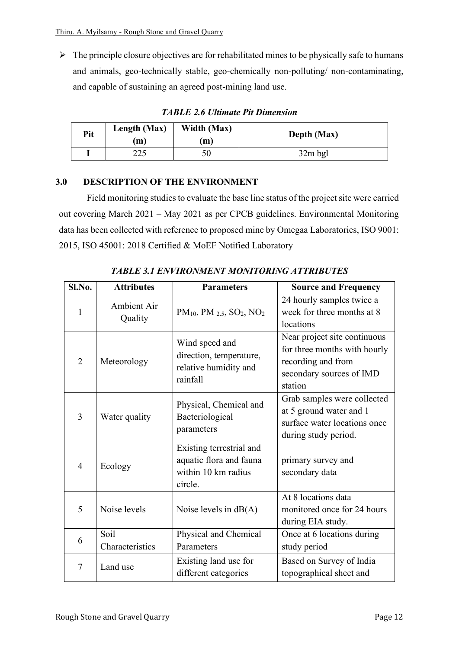$\triangleright$  The principle closure objectives are for rehabilitated mines to be physically safe to humans and animals, geo-technically stable, geo-chemically non-polluting/ non-contaminating, and capable of sustaining an agreed post-mining land use.

| Pit | Length (Max)<br>(m) | Width (Max)<br>m) | Depth (Max) |
|-----|---------------------|-------------------|-------------|
|     | າາເ<br>رے           | 50                | 32m bgl     |

*TABLE 2.6 Ultimate Pit Dimension* 

## **3.0 DESCRIPTION OF THE ENVIRONMENT**

Field monitoring studies to evaluate the base line status of the project site were carried out covering March 2021 – May 2021 as per CPCB guidelines. Environmental Monitoring data has been collected with reference to proposed mine by Omegaa Laboratories, ISO 9001: 2015, ISO 45001: 2018 Certified & MoEF Notified Laboratory

| Sl.No.         | <b>Attributes</b>       | <b>Parameters</b>                                                                     | <b>Source and Frequency</b>                                                                                               |
|----------------|-------------------------|---------------------------------------------------------------------------------------|---------------------------------------------------------------------------------------------------------------------------|
| $\mathbf{1}$   | Ambient Air<br>Quality  | PM <sub>10</sub> , PM <sub>2.5</sub> , SO <sub>2</sub> , NO <sub>2</sub>              | 24 hourly samples twice a<br>week for three months at 8<br>locations                                                      |
| $\overline{2}$ | Meteorology             | Wind speed and<br>direction, temperature,<br>relative humidity and<br>rainfall        | Near project site continuous<br>for three months with hourly<br>recording and from<br>secondary sources of IMD<br>station |
| 3              | Water quality           | Physical, Chemical and<br>Bacteriological<br>parameters                               | Grab samples were collected<br>at 5 ground water and 1<br>surface water locations once<br>during study period.            |
| $\overline{4}$ | Ecology                 | Existing terrestrial and<br>aquatic flora and fauna<br>within 10 km radius<br>circle. | primary survey and<br>secondary data                                                                                      |
| 5              | Noise levels            | Noise levels in $dB(A)$                                                               | At 8 locations data<br>monitored once for 24 hours<br>during EIA study.                                                   |
| 6              | Soil<br>Characteristics | Physical and Chemical<br>Parameters                                                   | Once at 6 locations during<br>study period                                                                                |
| 7              | Land use                | Existing land use for<br>different categories                                         | Based on Survey of India<br>topographical sheet and                                                                       |

*TABLE 3.1 ENVIRONMENT MONITORING ATTRIBUTES*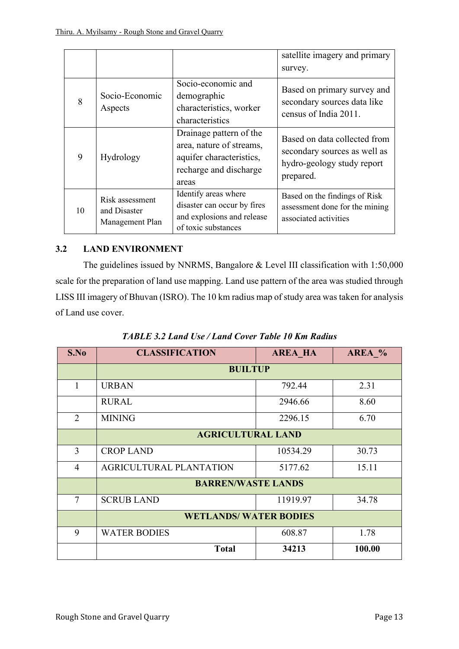|    |                                                    |                                                                                                                    | satellite imagery and primary<br>survey.                                                                |
|----|----------------------------------------------------|--------------------------------------------------------------------------------------------------------------------|---------------------------------------------------------------------------------------------------------|
| 8  | Socio-Economic<br>Aspects                          | Socio-economic and<br>demographic<br>characteristics, worker<br>characteristics                                    | Based on primary survey and<br>secondary sources data like<br>census of India 2011.                     |
| 9  | Hydrology                                          | Drainage pattern of the<br>area, nature of streams,<br>aquifer characteristics,<br>recharge and discharge<br>areas | Based on data collected from<br>secondary sources as well as<br>hydro-geology study report<br>prepared. |
| 10 | Risk assessment<br>and Disaster<br>Management Plan | Identify areas where<br>disaster can occur by fires<br>and explosions and release<br>of toxic substances           | Based on the findings of Risk<br>assessment done for the mining<br>associated activities                |

## **3.2 LAND ENVIRONMENT**

The guidelines issued by NNRMS, Bangalore & Level III classification with 1:50,000 scale for the preparation of land use mapping. Land use pattern of the area was studied through LISS III imagery of Bhuvan (ISRO). The 10 km radius map of study area was taken for analysis of Land use cover.

| S.No           | <b>CLASSIFICATION</b>        | <b>AREA HA</b> | AREA % |  |
|----------------|------------------------------|----------------|--------|--|
|                | <b>BUILTUP</b>               |                |        |  |
| 1              | <b>URBAN</b>                 | 792.44         | 2.31   |  |
|                | <b>RURAL</b>                 | 2946.66        | 8.60   |  |
| $\overline{2}$ | <b>MINING</b>                | 2296.15        | 6.70   |  |
|                | <b>AGRICULTURAL LAND</b>     |                |        |  |
| 3              | <b>CROP LAND</b>             | 10534.29       | 30.73  |  |
| $\overline{4}$ | AGRICULTURAL PLANTATION      | 5177.62        | 15.11  |  |
|                | <b>BARREN/WASTE LANDS</b>    |                |        |  |
| $\tau$         | <b>SCRUB LAND</b>            | 11919.97       | 34.78  |  |
|                | <b>WETLANDS/WATER BODIES</b> |                |        |  |
| 9              | <b>WATER BODIES</b>          | 608.87         | 1.78   |  |
|                | <b>Total</b>                 | 34213          | 100.00 |  |

*TABLE 3.2 Land Use / Land Cover Table 10 Km Radius*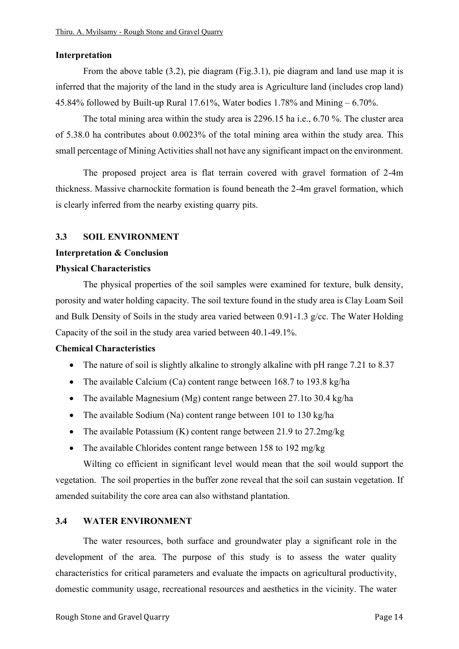#### **Interpretation**

From the above table (3.2), pie diagram (Fig.3.1), pie diagram and land use map it is inferred that the majority of the land in the study area is Agriculture land (includes crop land) 45.84% followed by Built-up Rural 17.61%, Water bodies 1.78% and Mining – 6.70%.

 The total mining area within the study area is 2296.15 ha i.e., 6.70 %. The cluster area of 5.38.0 ha contributes about 0.0023% of the total mining area within the study area. This small percentage of Mining Activities shall not have any significant impact on the environment.

The proposed project area is flat terrain covered with gravel formation of 2-4m thickness. Massive charnockite formation is found beneath the 2-4m gravel formation, which is clearly inferred from the nearby existing quarry pits.

#### **3.3 SOIL ENVIRONMENT**

#### **Interpretation & Conclusion**

#### **Physical Characteristics**

The physical properties of the soil samples were examined for texture, bulk density, porosity and water holding capacity. The soil texture found in the study area is Clay Loam Soil and Bulk Density of Soils in the study area varied between 0.91-1.3 g/cc. The Water Holding Capacity of the soil in the study area varied between 40.1-49.1%.

#### **Chemical Characteristics**

- The nature of soil is slightly alkaline to strongly alkaline with pH range 7.21 to 8.37
- The available Calcium (Ca) content range between 168.7 to 193.8 kg/ha
- The available Magnesium (Mg) content range between 27.1to 30.4 kg/ha
- The available Sodium (Na) content range between 101 to 130 kg/ha
- The available Potassium (K) content range between 21.9 to 27.2mg/kg
- The available Chlorides content range between 158 to 192 mg/kg

 Wilting co efficient in significant level would mean that the soil would support the vegetation. The soil properties in the buffer zone reveal that the soil can sustain vegetation. If amended suitability the core area can also withstand plantation.

#### **3.4 WATER ENVIRONMENT**

The water resources, both surface and groundwater play a significant role in the development of the area. The purpose of this study is to assess the water quality characteristics for critical parameters and evaluate the impacts on agricultural productivity, domestic community usage, recreational resources and aesthetics in the vicinity. The water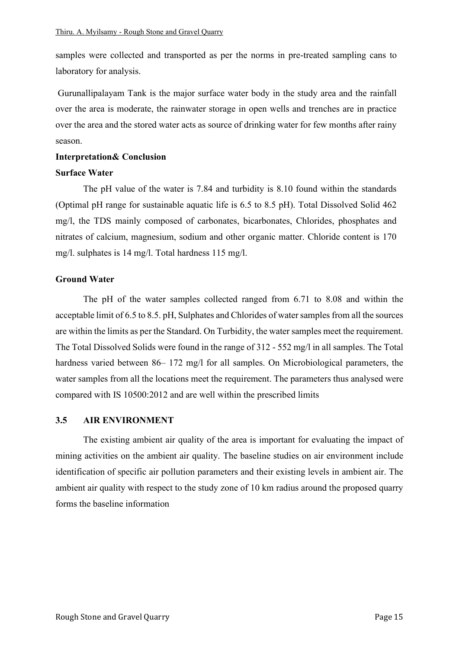samples were collected and transported as per the norms in pre-treated sampling cans to laboratory for analysis.

 Gurunallipalayam Tank is the major surface water body in the study area and the rainfall over the area is moderate, the rainwater storage in open wells and trenches are in practice over the area and the stored water acts as source of drinking water for few months after rainy season.

#### **Interpretation& Conclusion**

#### **Surface Water**

The pH value of the water is 7.84 and turbidity is 8.10 found within the standards (Optimal pH range for sustainable aquatic life is 6.5 to 8.5 pH). Total Dissolved Solid 462 mg/l, the TDS mainly composed of carbonates, bicarbonates, Chlorides, phosphates and nitrates of calcium, magnesium, sodium and other organic matter. Chloride content is 170 mg/l. sulphates is 14 mg/l. Total hardness 115 mg/l.

#### **Ground Water**

The pH of the water samples collected ranged from 6.71 to 8.08 and within the acceptable limit of 6.5 to 8.5. pH, Sulphates and Chlorides of water samples from all the sources are within the limits as per the Standard. On Turbidity, the water samples meet the requirement. The Total Dissolved Solids were found in the range of 312 - 552 mg/l in all samples. The Total hardness varied between 86– 172 mg/l for all samples. On Microbiological parameters, the water samples from all the locations meet the requirement. The parameters thus analysed were compared with IS 10500:2012 and are well within the prescribed limits

#### **3.5 AIR ENVIRONMENT**

The existing ambient air quality of the area is important for evaluating the impact of mining activities on the ambient air quality. The baseline studies on air environment include identification of specific air pollution parameters and their existing levels in ambient air. The ambient air quality with respect to the study zone of 10 km radius around the proposed quarry forms the baseline information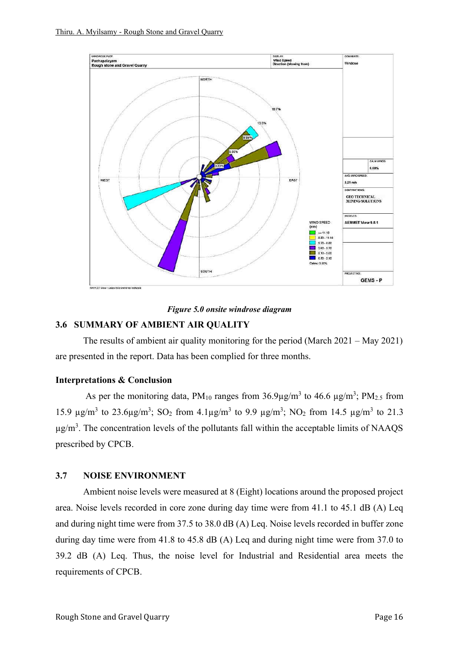

#### *Figure 5.0 onsite windrose diagram*

## **3.6 SUMMARY OF AMBIENT AIR QUALITY**

The results of ambient air quality monitoring for the period (March 2021 – May 2021) are presented in the report. Data has been complied for three months.

#### **Interpretations & Conclusion**

As per the monitoring data,  $PM_{10}$  ranges from  $36.9 \mu g/m^3$  to  $46.6 \mu g/m^3$ ;  $PM_{2.5}$  from 15.9  $\mu$ g/m<sup>3</sup> to 23.6 $\mu$ g/m<sup>3</sup>; SO<sub>2</sub> from 4.1 $\mu$ g/m<sup>3</sup> to 9.9  $\mu$ g/m<sup>3</sup>; NO<sub>2</sub> from 14.5  $\mu$ g/m<sup>3</sup> to 21.3  $\mu$ g/m<sup>3</sup>. The concentration levels of the pollutants fall within the acceptable limits of NAAQS prescribed by CPCB.

#### **3.7 NOISE ENVIRONMENT**

Ambient noise levels were measured at 8 (Eight) locations around the proposed project area. Noise levels recorded in core zone during day time were from 41.1 to 45.1 dB (A) Leq and during night time were from 37.5 to 38.0 dB (A) Leq. Noise levels recorded in buffer zone during day time were from 41.8 to 45.8 dB (A) Leq and during night time were from 37.0 to 39.2 dB (A) Leq. Thus, the noise level for Industrial and Residential area meets the requirements of CPCB.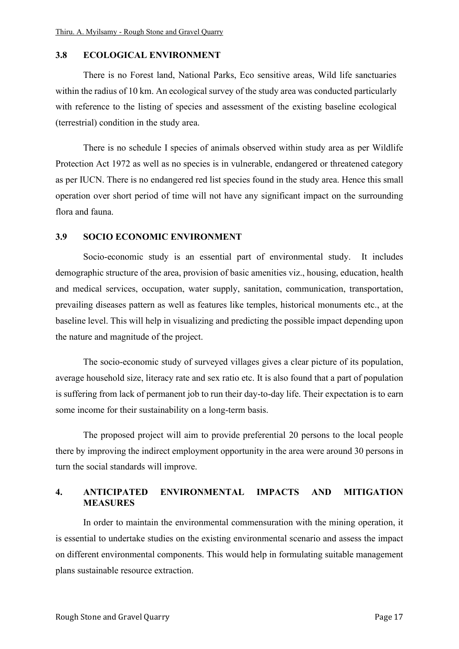#### **3.8 ECOLOGICAL ENVIRONMENT**

There is no Forest land, National Parks, Eco sensitive areas, Wild life sanctuaries within the radius of 10 km. An ecological survey of the study area was conducted particularly with reference to the listing of species and assessment of the existing baseline ecological (terrestrial) condition in the study area.

There is no schedule I species of animals observed within study area as per Wildlife Protection Act 1972 as well as no species is in vulnerable, endangered or threatened category as per IUCN. There is no endangered red list species found in the study area. Hence this small operation over short period of time will not have any significant impact on the surrounding flora and fauna.

## **3.9 SOCIO ECONOMIC ENVIRONMENT**

Socio-economic study is an essential part of environmental study. It includes demographic structure of the area, provision of basic amenities viz., housing, education, health and medical services, occupation, water supply, sanitation, communication, transportation, prevailing diseases pattern as well as features like temples, historical monuments etc., at the baseline level. This will help in visualizing and predicting the possible impact depending upon the nature and magnitude of the project.

The socio-economic study of surveyed villages gives a clear picture of its population, average household size, literacy rate and sex ratio etc. It is also found that a part of population is suffering from lack of permanent job to run their day-to-day life. Their expectation is to earn some income for their sustainability on a long-term basis.

The proposed project will aim to provide preferential 20 persons to the local people there by improving the indirect employment opportunity in the area were around 30 persons in turn the social standards will improve.

#### **4. ANTICIPATED ENVIRONMENTAL IMPACTS AND MITIGATION MEASURES**

In order to maintain the environmental commensuration with the mining operation, it is essential to undertake studies on the existing environmental scenario and assess the impact on different environmental components. This would help in formulating suitable management plans sustainable resource extraction.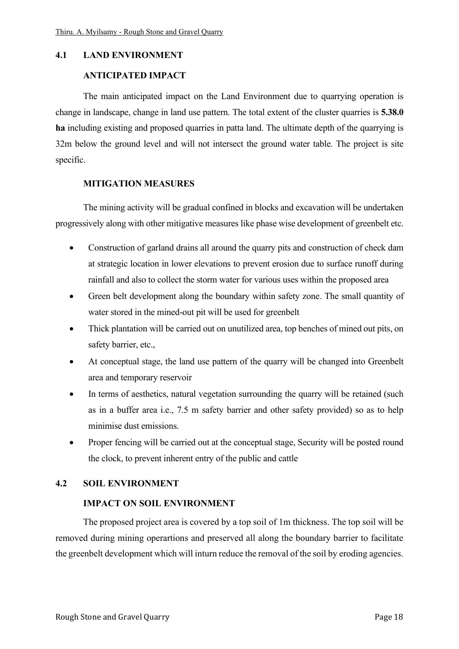#### **4.1 LAND ENVIRONMENT**

#### **ANTICIPATED IMPACT**

The main anticipated impact on the Land Environment due to quarrying operation is change in landscape, change in land use pattern. The total extent of the cluster quarries is **5.38.0 ha** including existing and proposed quarries in patta land. The ultimate depth of the quarrying is 32m below the ground level and will not intersect the ground water table. The project is site specific.

#### **MITIGATION MEASURES**

The mining activity will be gradual confined in blocks and excavation will be undertaken progressively along with other mitigative measures like phase wise development of greenbelt etc.

- Construction of garland drains all around the quarry pits and construction of check dam at strategic location in lower elevations to prevent erosion due to surface runoff during rainfall and also to collect the storm water for various uses within the proposed area
- Green belt development along the boundary within safety zone. The small quantity of water stored in the mined-out pit will be used for greenbelt
- Thick plantation will be carried out on unutilized area, top benches of mined out pits, on safety barrier, etc.,
- At conceptual stage, the land use pattern of the quarry will be changed into Greenbelt area and temporary reservoir
- In terms of aesthetics, natural vegetation surrounding the quarry will be retained (such as in a buffer area i.e., 7.5 m safety barrier and other safety provided) so as to help minimise dust emissions.
- Proper fencing will be carried out at the conceptual stage, Security will be posted round the clock, to prevent inherent entry of the public and cattle

#### **4.2 SOIL ENVIRONMENT**

#### **IMPACT ON SOIL ENVIRONMENT**

The proposed project area is covered by a top soil of 1m thickness. The top soil will be removed during mining operartions and preserved all along the boundary barrier to facilitate the greenbelt development which will inturn reduce the removal of the soil by eroding agencies.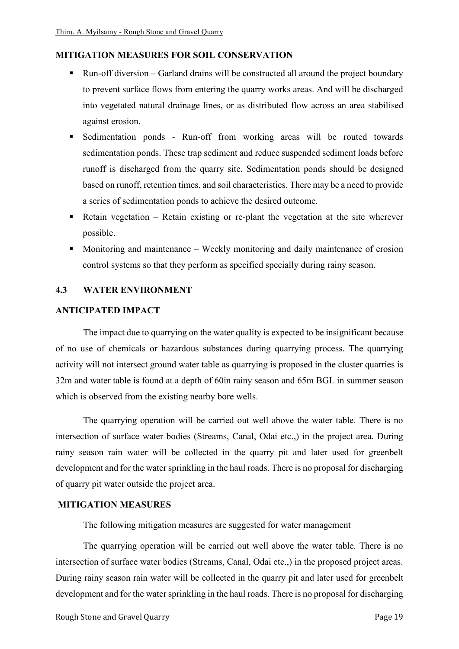#### **MITIGATION MEASURES FOR SOIL CONSERVATION**

- Run-off diversion Garland drains will be constructed all around the project boundary to prevent surface flows from entering the quarry works areas. And will be discharged into vegetated natural drainage lines, or as distributed flow across an area stabilised against erosion.
- Sedimentation ponds Run-off from working areas will be routed towards sedimentation ponds. These trap sediment and reduce suspended sediment loads before runoff is discharged from the quarry site. Sedimentation ponds should be designed based on runoff, retention times, and soil characteristics. There may be a need to provide a series of sedimentation ponds to achieve the desired outcome.
- $\blacksquare$  Retain vegetation Retain existing or re-plant the vegetation at the site wherever possible.
- Monitoring and maintenance Weekly monitoring and daily maintenance of erosion control systems so that they perform as specified specially during rainy season.

#### **4.3 WATER ENVIRONMENT**

#### **ANTICIPATED IMPACT**

The impact due to quarrying on the water quality is expected to be insignificant because of no use of chemicals or hazardous substances during quarrying process. The quarrying activity will not intersect ground water table as quarrying is proposed in the cluster quarries is 32m and water table is found at a depth of 60in rainy season and 65m BGL in summer season which is observed from the existing nearby bore wells.

 The quarrying operation will be carried out well above the water table. There is no intersection of surface water bodies (Streams, Canal, Odai etc.,) in the project area. During rainy season rain water will be collected in the quarry pit and later used for greenbelt development and for the water sprinkling in the haul roads. There is no proposal for discharging of quarry pit water outside the project area.

#### **MITIGATION MEASURES**

The following mitigation measures are suggested for water management

The quarrying operation will be carried out well above the water table. There is no intersection of surface water bodies (Streams, Canal, Odai etc.,) in the proposed project areas. During rainy season rain water will be collected in the quarry pit and later used for greenbelt development and for the water sprinkling in the haul roads. There is no proposal for discharging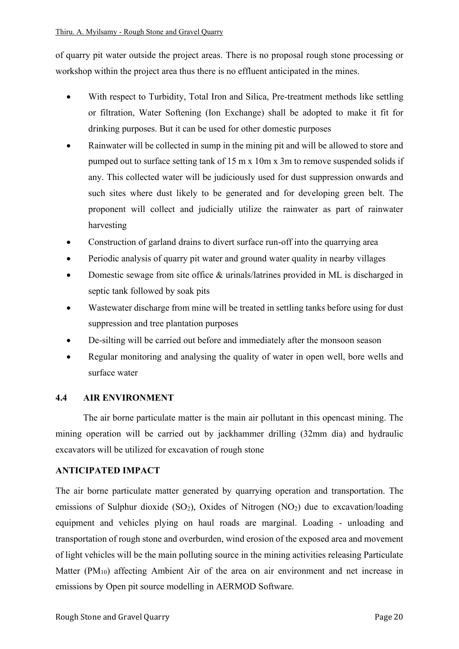of quarry pit water outside the project areas. There is no proposal rough stone processing or workshop within the project area thus there is no effluent anticipated in the mines.

- With respect to Turbidity, Total Iron and Silica, Pre-treatment methods like settling or filtration, Water Softening (Ion Exchange) shall be adopted to make it fit for drinking purposes. But it can be used for other domestic purposes
- Rainwater will be collected in sump in the mining pit and will be allowed to store and pumped out to surface setting tank of 15 m x 10m x 3m to remove suspended solids if any. This collected water will be judiciously used for dust suppression onwards and such sites where dust likely to be generated and for developing green belt. The proponent will collect and judicially utilize the rainwater as part of rainwater harvesting
- Construction of garland drains to divert surface run-off into the quarrying area
- Periodic analysis of quarry pit water and ground water quality in nearby villages
- Domestic sewage from site office & urinals/latrines provided in ML is discharged in septic tank followed by soak pits
- Wastewater discharge from mine will be treated in settling tanks before using for dust suppression and tree plantation purposes
- De-silting will be carried out before and immediately after the monsoon season
- Regular monitoring and analysing the quality of water in open well, bore wells and surface water

## **4.4 AIR ENVIRONMENT**

The air borne particulate matter is the main air pollutant in this opencast mining. The mining operation will be carried out by jackhammer drilling (32mm dia) and hydraulic excavators will be utilized for excavation of rough stone

## **ANTICIPATED IMPACT**

The air borne particulate matter generated by quarrying operation and transportation. The emissions of Sulphur dioxide  $(SO<sub>2</sub>)$ , Oxides of Nitrogen  $(NO<sub>2</sub>)$  due to excavation/loading equipment and vehicles plying on haul roads are marginal. Loading - unloading and transportation of rough stone and overburden, wind erosion of the exposed area and movement of light vehicles will be the main polluting source in the mining activities releasing Particulate Matter (PM10) affecting Ambient Air of the area on air environment and net increase in emissions by Open pit source modelling in AERMOD Software.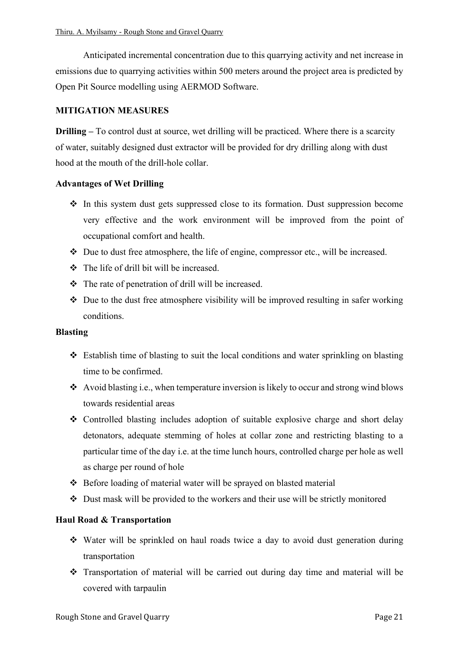Anticipated incremental concentration due to this quarrying activity and net increase in emissions due to quarrying activities within 500 meters around the project area is predicted by Open Pit Source modelling using AERMOD Software.

## **MITIGATION MEASURES**

**Drilling** – To control dust at source, wet drilling will be practiced. Where there is a scarcity of water, suitably designed dust extractor will be provided for dry drilling along with dust hood at the mouth of the drill-hole collar.

#### **Advantages of Wet Drilling**

- ❖ In this system dust gets suppressed close to its formation. Dust suppression become very effective and the work environment will be improved from the point of occupational comfort and health.
- $\bullet$  Due to dust free atmosphere, the life of engine, compressor etc., will be increased.
- ❖ The life of drill bit will be increased.
- ❖ The rate of penetration of drill will be increased.
- ❖ Due to the dust free atmosphere visibility will be improved resulting in safer working conditions.

#### **Blasting**

- ❖ Establish time of blasting to suit the local conditions and water sprinkling on blasting time to be confirmed.
- ❖ Avoid blasting i.e., when temperature inversion is likely to occur and strong wind blows towards residential areas
- ❖ Controlled blasting includes adoption of suitable explosive charge and short delay detonators, adequate stemming of holes at collar zone and restricting blasting to a particular time of the day i.e. at the time lunch hours, controlled charge per hole as well as charge per round of hole
- ❖ Before loading of material water will be sprayed on blasted material
- ❖ Dust mask will be provided to the workers and their use will be strictly monitored

## **Haul Road & Transportation**

- ❖ Water will be sprinkled on haul roads twice a day to avoid dust generation during transportation
- ❖ Transportation of material will be carried out during day time and material will be covered with tarpaulin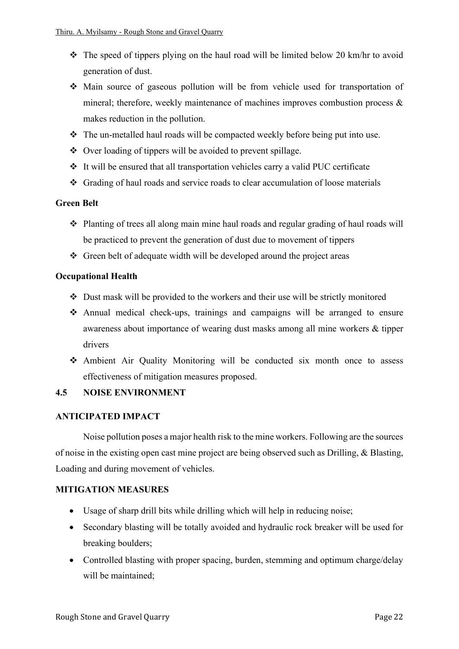- $\triangle$  The speed of tippers plying on the haul road will be limited below 20 km/hr to avoid generation of dust.
- ❖ Main source of gaseous pollution will be from vehicle used for transportation of mineral; therefore, weekly maintenance of machines improves combustion process & makes reduction in the pollution.
- ❖ The un-metalled haul roads will be compacted weekly before being put into use.
- ❖ Over loading of tippers will be avoided to prevent spillage.
- ❖ It will be ensured that all transportation vehicles carry a valid PUC certificate
- ❖ Grading of haul roads and service roads to clear accumulation of loose materials

#### **Green Belt**

- ❖ Planting of trees all along main mine haul roads and regular grading of haul roads will be practiced to prevent the generation of dust due to movement of tippers
- ❖ Green belt of adequate width will be developed around the project areas

#### **Occupational Health**

- ❖ Dust mask will be provided to the workers and their use will be strictly monitored
- ❖ Annual medical check-ups, trainings and campaigns will be arranged to ensure awareness about importance of wearing dust masks among all mine workers & tipper drivers
- ❖ Ambient Air Quality Monitoring will be conducted six month once to assess effectiveness of mitigation measures proposed.

## **4.5 NOISE ENVIRONMENT**

#### **ANTICIPATED IMPACT**

Noise pollution poses a major health risk to the mine workers. Following are the sources of noise in the existing open cast mine project are being observed such as Drilling, & Blasting, Loading and during movement of vehicles.

## **MITIGATION MEASURES**

- Usage of sharp drill bits while drilling which will help in reducing noise;
- Secondary blasting will be totally avoided and hydraulic rock breaker will be used for breaking boulders;
- Controlled blasting with proper spacing, burden, stemming and optimum charge/delay will be maintained;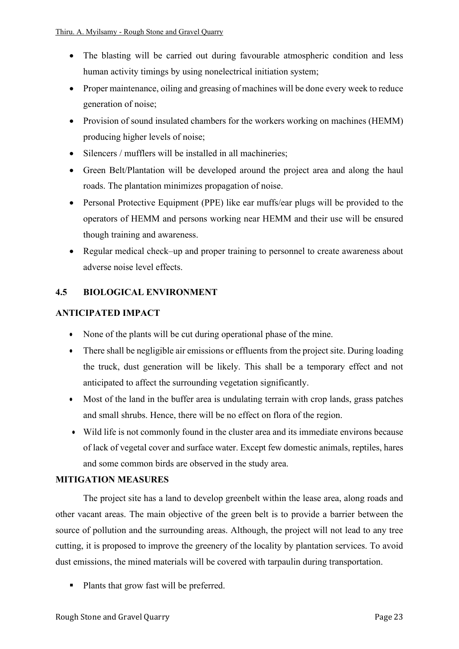- The blasting will be carried out during favourable atmospheric condition and less human activity timings by using nonelectrical initiation system;
- Proper maintenance, oiling and greasing of machines will be done every week to reduce generation of noise;
- Provision of sound insulated chambers for the workers working on machines (HEMM) producing higher levels of noise;
- Silencers / mufflers will be installed in all machineries;
- Green Belt/Plantation will be developed around the project area and along the haul roads. The plantation minimizes propagation of noise.
- Personal Protective Equipment (PPE) like ear muffs/ear plugs will be provided to the operators of HEMM and persons working near HEMM and their use will be ensured though training and awareness.
- Regular medical check–up and proper training to personnel to create awareness about adverse noise level effects.

## **4.5 BIOLOGICAL ENVIRONMENT**

## **ANTICIPATED IMPACT**

- None of the plants will be cut during operational phase of the mine.
- There shall be negligible air emissions or effluents from the project site. During loading the truck, dust generation will be likely. This shall be a temporary effect and not anticipated to affect the surrounding vegetation significantly.
- Most of the land in the buffer area is undulating terrain with crop lands, grass patches and small shrubs. Hence, there will be no effect on flora of the region.
- Wild life is not commonly found in the cluster area and its immediate environs because of lack of vegetal cover and surface water. Except few domestic animals, reptiles, hares and some common birds are observed in the study area.

## **MITIGATION MEASURES**

The project site has a land to develop greenbelt within the lease area, along roads and other vacant areas. The main objective of the green belt is to provide a barrier between the source of pollution and the surrounding areas. Although, the project will not lead to any tree cutting, it is proposed to improve the greenery of the locality by plantation services. To avoid dust emissions, the mined materials will be covered with tarpaulin during transportation.

Plants that grow fast will be preferred.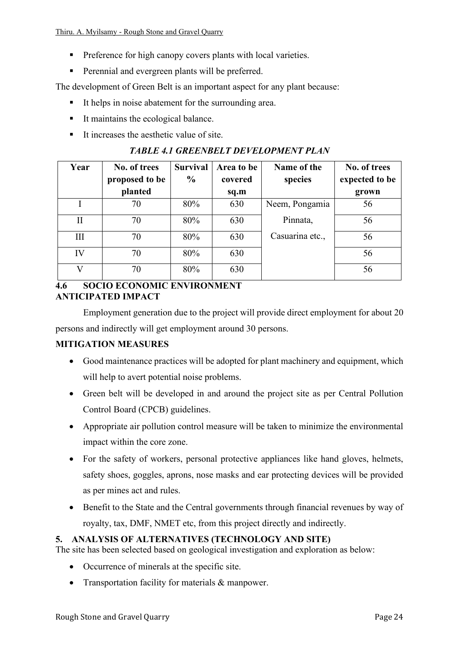Thiru. A. Myilsamy - Rough Stone and Gravel Quarry

- **•** Preference for high canopy covers plants with local varieties.
- **•** Perennial and evergreen plants will be preferred.

The development of Green Belt is an important aspect for any plant because:

- It helps in noise abatement for the surrounding area.
- It maintains the ecological balance.
- It increases the aesthetic value of site.

## *TABLE 4.1 GREENBELT DEVELOPMENT PLAN*

| Year         | No. of trees   | <b>Survival</b> | Area to be | Name of the     | No. of trees   |
|--------------|----------------|-----------------|------------|-----------------|----------------|
|              | proposed to be | $\frac{6}{9}$   | covered    | species         | expected to be |
|              | planted        |                 | sq.m       |                 | grown          |
|              | 70             | 80%             | 630        | Neem, Pongamia  | 56             |
| $\mathbf{I}$ | 70             | 80%             | 630        | Pinnata,        | 56             |
| III          | 70             | 80%             | 630        | Casuarina etc., | 56             |
| IV           | 70             | 80%             | 630        |                 | 56             |
| $\mathbf{V}$ | 70             | 80%             | 630        |                 | 56             |

#### **4.6 SOCIO ECONOMIC ENVIRONMENT ANTICIPATED IMPACT**

Employment generation due to the project will provide direct employment for about 20 persons and indirectly will get employment around 30 persons.

## **MITIGATION MEASURES**

- Good maintenance practices will be adopted for plant machinery and equipment, which will help to avert potential noise problems.
- Green belt will be developed in and around the project site as per Central Pollution Control Board (CPCB) guidelines.
- Appropriate air pollution control measure will be taken to minimize the environmental impact within the core zone.
- For the safety of workers, personal protective appliances like hand gloves, helmets, safety shoes, goggles, aprons, nose masks and ear protecting devices will be provided as per mines act and rules.
- Benefit to the State and the Central governments through financial revenues by way of royalty, tax, DMF, NMET etc, from this project directly and indirectly.

## **5. ANALYSIS OF ALTERNATIVES (TECHNOLOGY AND SITE)**

The site has been selected based on geological investigation and exploration as below:

- Occurrence of minerals at the specific site.
- Transportation facility for materials & manpower.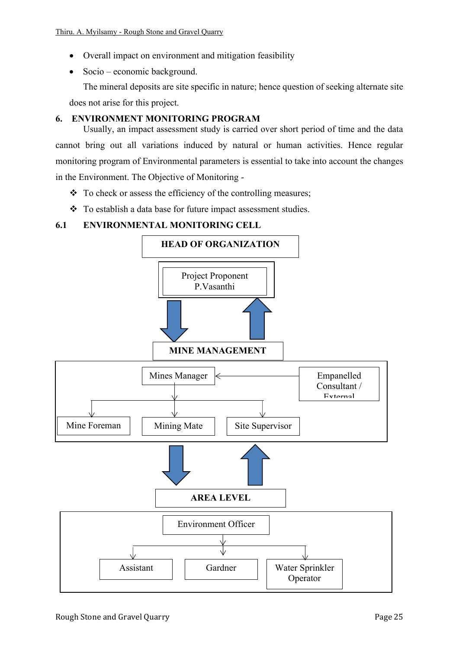- Overall impact on environment and mitigation feasibility
- Socio economic background.

The mineral deposits are site specific in nature; hence question of seeking alternate site does not arise for this project.

## **6. ENVIRONMENT MONITORING PROGRAM**

Usually, an impact assessment study is carried over short period of time and the data cannot bring out all variations induced by natural or human activities. Hence regular monitoring program of Environmental parameters is essential to take into account the changes in the Environment. The Objective of Monitoring -

- ❖ To check or assess the efficiency of the controlling measures;
- ❖ To establish a data base for future impact assessment studies.

#### **6.1 ENVIRONMENTAL MONITORING CELL**

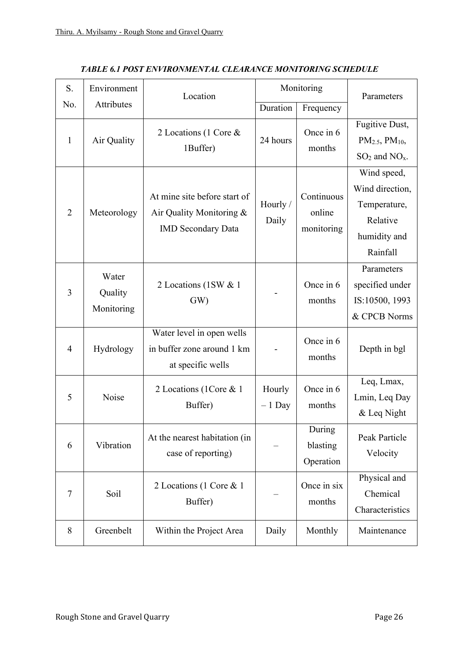| S.<br>Environment |                                | Location                                                                              | Monitoring         |                                    | Parameters                                                                             |
|-------------------|--------------------------------|---------------------------------------------------------------------------------------|--------------------|------------------------------------|----------------------------------------------------------------------------------------|
| No.               | Attributes                     |                                                                                       | Duration           | Frequency                          |                                                                                        |
| 1                 | Air Quality                    | 2 Locations (1 Core &<br>1Buffer)                                                     | 24 hours           | Once in 6<br>months                | Fugitive Dust,<br>$PM_{2.5}$ , $PM_{10}$ ,<br>$SO2$ and $NOx$ .                        |
| $\overline{2}$    | Meteorology                    | At mine site before start of<br>Air Quality Monitoring &<br><b>IMD</b> Secondary Data | Hourly /<br>Daily  | Continuous<br>online<br>monitoring | Wind speed,<br>Wind direction,<br>Temperature,<br>Relative<br>humidity and<br>Rainfall |
| $\overline{3}$    | Water<br>Quality<br>Monitoring | 2 Locations (1SW & 1)<br>GW                                                           |                    | Once in 6<br>months                | Parameters<br>specified under<br>IS:10500, 1993<br>& CPCB Norms                        |
| $\overline{4}$    | Hydrology                      | Water level in open wells<br>in buffer zone around 1 km<br>at specific wells          |                    | Once in 6<br>months                | Depth in bgl                                                                           |
| 5                 | Noise                          | 2 Locations (1Core & 1)<br>Buffer)                                                    | Hourly<br>$-1$ Day | Once in 6<br>months                | Leq, Lmax,<br>Lmin, Leq Day<br>& Leq Night                                             |
| 6                 | Vibration                      | At the nearest habitation (in<br>case of reporting)                                   |                    | During<br>blasting<br>Operation    | Peak Particle<br>Velocity                                                              |
| $\overline{7}$    | Soil                           | 2 Locations (1 Core & 1<br>Buffer)                                                    |                    | Once in six<br>months              | Physical and<br>Chemical<br>Characteristics                                            |
| 8                 | Greenbelt                      | Within the Project Area                                                               | Daily              | Monthly                            | Maintenance                                                                            |

*TABLE 6.1 POST ENVIRONMENTAL CLEARANCE MONITORING SCHEDULE*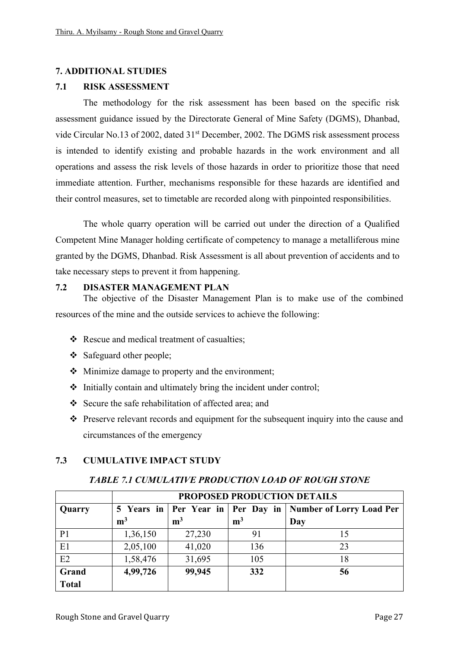#### **7. ADDITIONAL STUDIES**

#### **7.1 RISK ASSESSMENT**

The methodology for the risk assessment has been based on the specific risk assessment guidance issued by the Directorate General of Mine Safety (DGMS), Dhanbad, vide Circular No.13 of 2002, dated 31<sup>st</sup> December, 2002. The DGMS risk assessment process is intended to identify existing and probable hazards in the work environment and all operations and assess the risk levels of those hazards in order to prioritize those that need immediate attention. Further, mechanisms responsible for these hazards are identified and their control measures, set to timetable are recorded along with pinpointed responsibilities.

The whole quarry operation will be carried out under the direction of a Qualified Competent Mine Manager holding certificate of competency to manage a metalliferous mine granted by the DGMS, Dhanbad. Risk Assessment is all about prevention of accidents and to take necessary steps to prevent it from happening.

#### **7.2 DISASTER MANAGEMENT PLAN**

 The objective of the Disaster Management Plan is to make use of the combined resources of the mine and the outside services to achieve the following:

- ❖ Rescue and medical treatment of casualties;
- ❖ Safeguard other people;
- ❖ Minimize damage to property and the environment;
- ❖ Initially contain and ultimately bring the incident under control;
- ❖ Secure the safe rehabilitation of affected area; and
- ❖ Preserve relevant records and equipment for the subsequent inquiry into the cause and circumstances of the emergency

## **7.3 CUMULATIVE IMPACT STUDY**

|                | PROPOSED PRODUCTION DETAILS |                |                |                                                                  |  |
|----------------|-----------------------------|----------------|----------------|------------------------------------------------------------------|--|
| Quarry         |                             |                |                | 5 Years in   Per Year in   Per Day in   Number of Lorry Load Per |  |
|                | m <sup>3</sup>              | m <sup>3</sup> | m <sup>3</sup> | Day                                                              |  |
| P <sub>1</sub> | 1,36,150                    | 27,230         | 91             | 15                                                               |  |
| E1             | 2,05,100                    | 41,020         | 136            | 23                                                               |  |
| E2             | 1,58,476                    | 31,695         | 105            | 18                                                               |  |
| Grand          | 4,99,726                    | 99,945         | 332            | 56                                                               |  |
| <b>Total</b>   |                             |                |                |                                                                  |  |

#### *TABLE 7.1 CUMULATIVE PRODUCTION LOAD OF ROUGH STONE*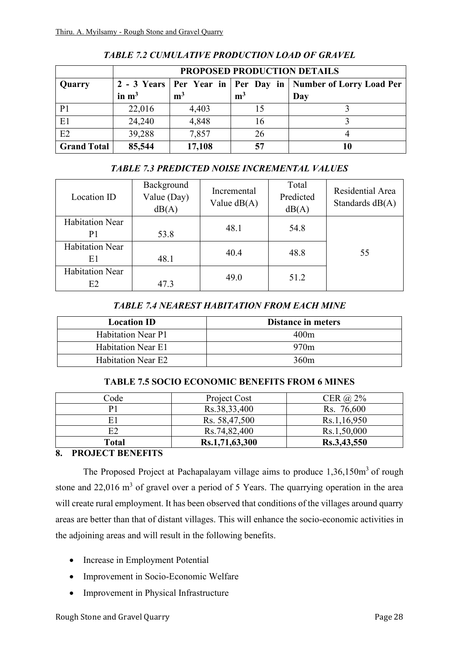|                    | <b>PROPOSED PRODUCTION DETAILS</b> |                |                |                                                                   |  |
|--------------------|------------------------------------|----------------|----------------|-------------------------------------------------------------------|--|
| Quarry             |                                    |                |                | 2 - 3 Years   Per Year in   Per Day in   Number of Lorry Load Per |  |
|                    | in $m3$                            | m <sup>3</sup> | m <sup>3</sup> | Day                                                               |  |
| P <sub>1</sub>     | 22,016                             | 4,403          |                |                                                                   |  |
| E1                 | 24,240                             | 4,848          | 16             |                                                                   |  |
| E2                 | 39,288                             | 7,857          | 26             |                                                                   |  |
| <b>Grand Total</b> | 85,544                             | 17,108         | 57             |                                                                   |  |

*TABLE 7.2 CUMULATIVE PRODUCTION LOAD OF GRAVEL* 

## *TABLE 7.3 PREDICTED NOISE INCREMENTAL VALUES*

| Location ID            | Background<br>Value (Day)<br>dB(A) | Incremental<br>Value $dB(A)$ | Total<br>Predicted<br>dB(A) | Residential Area<br>Standards dB(A) |
|------------------------|------------------------------------|------------------------------|-----------------------------|-------------------------------------|
| <b>Habitation Near</b> |                                    | 48.1                         | 54.8                        |                                     |
| P <sub>1</sub>         | 53.8                               |                              |                             |                                     |
| <b>Habitation Near</b> |                                    | 40.4                         | 48.8                        | 55                                  |
| E1                     | 48.1                               |                              |                             |                                     |
| <b>Habitation Near</b> |                                    | 49.0                         | 51.2                        |                                     |
| E2                     | 47.3                               |                              |                             |                                     |

## *TABLE 7.4 NEAREST HABITATION FROM EACH MINE*

| <b>Location ID</b>        | Distance in meters |
|---------------------------|--------------------|
| <b>Habitation Near P1</b> | 400m               |
| <b>Habitation Near E1</b> | 970 <sub>m</sub>   |
| <b>Habitation Near E2</b> | 360 <sub>m</sub>   |

## **TABLE 7.5 SOCIO ECONOMIC BENEFITS FROM 6 MINES**

| Code         | Project Cost   | CER $\omega$ 2% |
|--------------|----------------|-----------------|
| $\mathbf{p}$ | Rs.38,33,400   | Rs. 76,600      |
| E1           | Rs. 58,47,500  | Rs.1,16,950     |
| E2           | Rs.74,82,400   | Rs.1,50,000     |
| <b>Total</b> | Rs.1,71,63,300 | Rs.3,43,550     |

## **8. PROJECT BENEFITS**

The Proposed Project at Pachapalayam village aims to produce  $1,36,150m<sup>3</sup>$  of rough stone and 22,016  $m<sup>3</sup>$  of gravel over a period of 5 Years. The quarrying operation in the area will create rural employment. It has been observed that conditions of the villages around quarry areas are better than that of distant villages. This will enhance the socio-economic activities in the adjoining areas and will result in the following benefits.

- Increase in Employment Potential
- Improvement in Socio-Economic Welfare
- Improvement in Physical Infrastructure